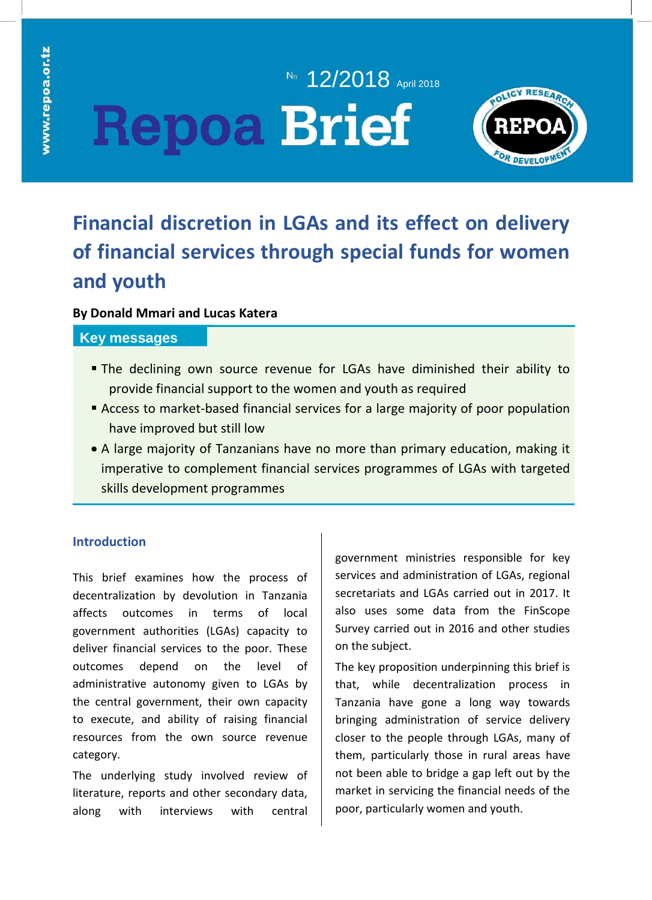# No. **12/2018** April 2018 **Repoa Brief**



# **Financial discretion in LGAs and its effect on delivery of financial services through special funds for women and youth**

### **By Donald Mmari and Lucas Katera**

### **Key messages**

- **The declining own source revenue for LGAs have diminished their ability to** provide financial support to the women and youth as required
- Access to market-based financial services for a large majority of poor population have improved but still low
- A large majority of Tanzanians have no more than primary education, making it imperative to complement financial services programmes of LGAs with targeted skills development programmes

## **Introduction**

This brief examines how the process of decentralization by devolution in Tanzania affects outcomes in terms of local government authorities (LGAs) capacity to deliver financial services to the poor. These outcomes depend on the level of administrative autonomy given to LGAs by the central government, their own capacity to execute, and ability of raising financial resources from the own source revenue category.

The underlying study involved review of literature, reports and other secondary data, along with interviews with central government ministries responsible for key services and administration of LGAs, regional secretariats and LGAs carried out in 2017. It also uses some data from the FinScope Survey carried out in 2016 and other studies on the subject.

The key proposition underpinning this brief is that, while decentralization process in Tanzania have gone a long way towards bringing administration of service delivery closer to the people through LGAs, many of them, particularly those in rural areas have not been able to bridge a gap left out by the market in servicing the financial needs of the poor, particularly women and youth.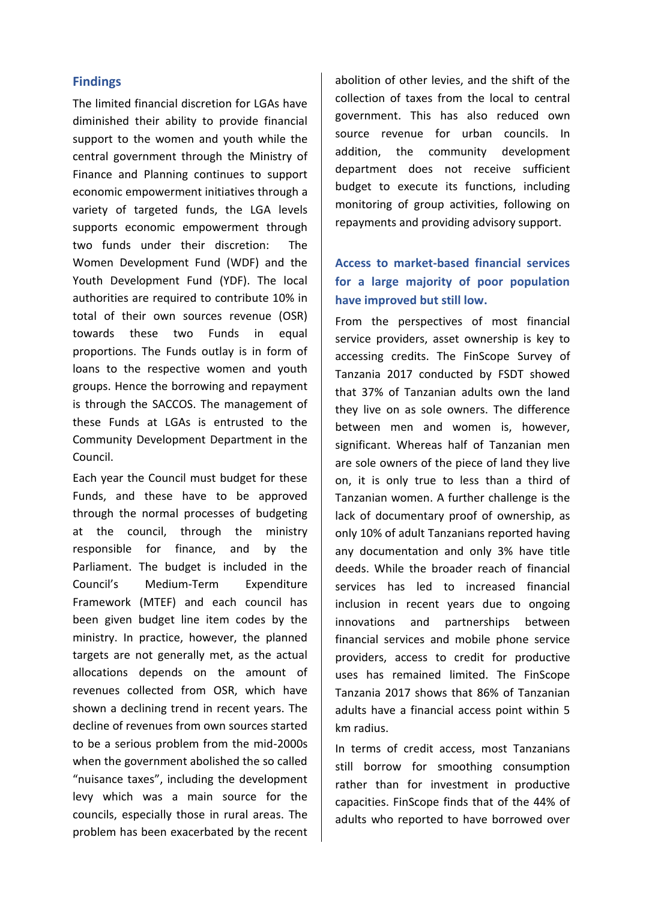#### **Findings**

The limited financial discretion for LGAs have diminished their ability to provide financial support to the women and youth while the central government through the Ministry of Finance and Planning continues to support economic empowerment initiatives through a variety of targeted funds, the LGA levels supports economic empowerment through two funds under their discretion: The Women Development Fund (WDF) and the Youth Development Fund (YDF). The local authorities are required to contribute 10% in total of their own sources revenue (OSR) towards these two Funds in equal proportions. The Funds outlay is in form of loans to the respective women and youth groups. Hence the borrowing and repayment is through the SACCOS. The management of these Funds at LGAs is entrusted to the Community Development Department in the Council.

Each year the Council must budget for these Funds, and these have to be approved through the normal processes of budgeting at the council, through the ministry responsible for finance, and by the Parliament. The budget is included in the Council's Medium-Term Expenditure Framework (MTEF) and each council has been given budget line item codes by the ministry. In practice, however, the planned targets are not generally met, as the actual allocations depends on the amount of revenues collected from OSR, which have shown a declining trend in recent years. The decline of revenues from own sources started to be a serious problem from the mid-2000s when the government abolished the so called "nuisance taxes", including the development levy which was a main source for the councils, especially those in rural areas. The problem has been exacerbated by the recent abolition of other levies, and the shift of the collection of taxes from the local to central government. This has also reduced own source revenue for urban councils. In addition, the community development department does not receive sufficient budget to execute its functions, including monitoring of group activities, following on repayments and providing advisory support.

# **Access to market-based financial services for a large majority of poor population have improved but still low.**

From the perspectives of most financial service providers, asset ownership is key to accessing credits. The FinScope Survey of Tanzania 2017 conducted by FSDT showed that 37% of Tanzanian adults own the land they live on as sole owners. The difference between men and women is, however, significant. Whereas half of Tanzanian men are sole owners of the piece of land they live on, it is only true to less than a third of Tanzanian women. A further challenge is the lack of documentary proof of ownership, as only 10% of adult Tanzanians reported having any documentation and only 3% have title deeds. While the broader reach of financial services has led to increased financial inclusion in recent years due to ongoing innovations and partnerships between financial services and mobile phone service providers, access to credit for productive uses has remained limited. The FinScope Tanzania 2017 shows that 86% of Tanzanian adults have a financial access point within 5 km radius.

In terms of credit access, most Tanzanians still borrow for smoothing consumption rather than for investment in productive capacities. FinScope finds that of the 44% of adults who reported to have borrowed over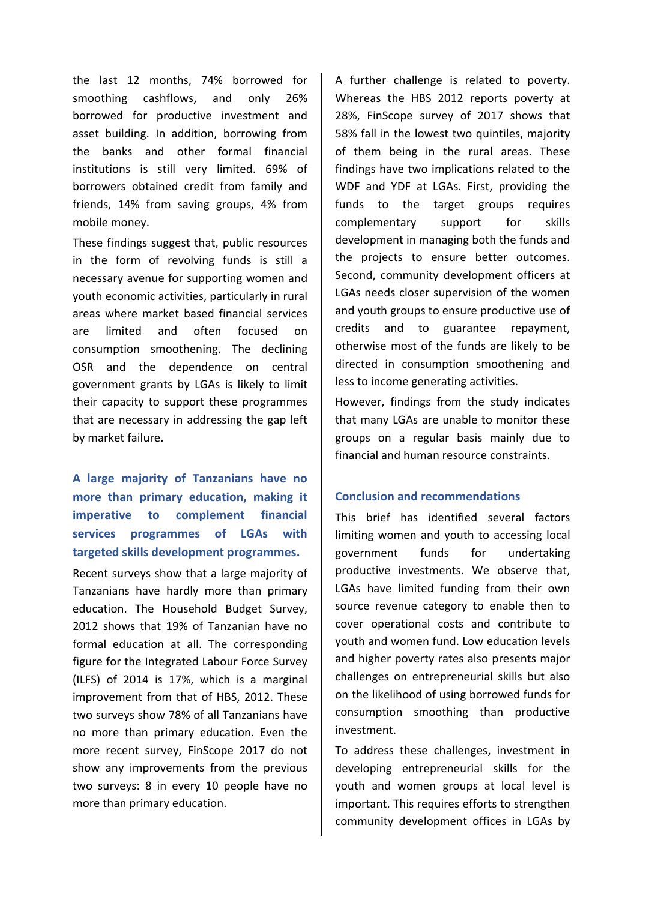the last 12 months, 74% borrowed for smoothing cashflows, and only 26% borrowed for productive investment and asset building. In addition, borrowing from the banks and other formal financial institutions is still very limited. 69% of borrowers obtained credit from family and friends, 14% from saving groups, 4% from mobile money.

These findings suggest that, public resources in the form of revolving funds is still a necessary avenue for supporting women and youth economic activities, particularly in rural areas where market based financial services are limited and often focused on consumption smoothening. The declining OSR and the dependence on central government grants by LGAs is likely to limit their capacity to support these programmes that are necessary in addressing the gap left by market failure.

**A large majority of Tanzanians have no more than primary education, making it imperative to complement financial services programmes of LGAs with targeted skills development programmes.** 

Recent surveys show that a large majority of Tanzanians have hardly more than primary education. The Household Budget Survey, 2012 shows that 19% of Tanzanian have no formal education at all. The corresponding figure for the Integrated Labour Force Survey (ILFS) of 2014 is 17%, which is a marginal improvement from that of HBS, 2012. These two surveys show 78% of all Tanzanians have no more than primary education. Even the more recent survey, FinScope 2017 do not show any improvements from the previous two surveys: 8 in every 10 people have no more than primary education.

A further challenge is related to poverty. Whereas the HBS 2012 reports poverty at 28%, FinScope survey of 2017 shows that 58% fall in the lowest two quintiles, majority of them being in the rural areas. These findings have two implications related to the WDF and YDF at LGAs. First, providing the funds to the target groups requires complementary support for skills development in managing both the funds and the projects to ensure better outcomes. Second, community development officers at LGAs needs closer supervision of the women and youth groups to ensure productive use of credits and to guarantee repayment, otherwise most of the funds are likely to be directed in consumption smoothening and less to income generating activities.

However, findings from the study indicates that many LGAs are unable to monitor these groups on a regular basis mainly due to financial and human resource constraints.

#### **Conclusion and recommendations**

This brief has identified several factors limiting women and youth to accessing local government funds for undertaking productive investments. We observe that, LGAs have limited funding from their own source revenue category to enable then to cover operational costs and contribute to youth and women fund. Low education levels and higher poverty rates also presents major challenges on entrepreneurial skills but also on the likelihood of using borrowed funds for consumption smoothing than productive investment.

To address these challenges, investment in developing entrepreneurial skills for the youth and women groups at local level is important. This requires efforts to strengthen community development offices in LGAs by